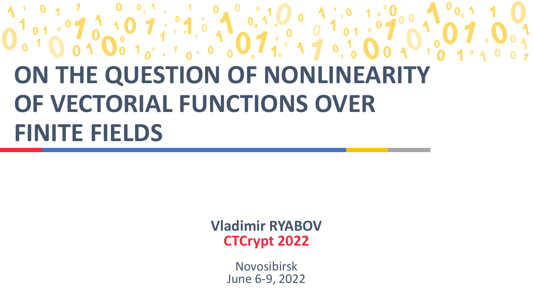## **ON THE QUESTION OF NONLINEARITY OF VECTORIAL FUNCTIONS OVER FINITE FIELDS**

**Vladimir RYABOV CTCrypt 2022**

> Novosibirsk June 6-9, 2022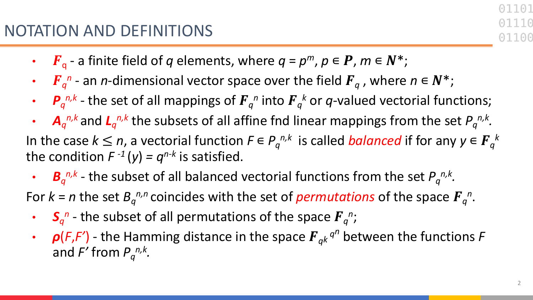- $F_q$  a finite field of *q* elements, where  $q = p^m$ ,  $p \in P$ ,  $m \in N^*$ ;
- $\int \int_{a}^{b} F_{q}^{n}$  an *n*-dimensional vector space over the field  $F_{q}$  , where  $n \in \mathbb{N}^{*}$ ;
- $P_q^{n,k}$  the set of all mappings of  $F_q^n$  into  $F_q^k$  or q-valued vectorial functions;
- $A_q^{n,k}$  and  $L_q^{n,k}$  the subsets of all affine fnd linear mappings from the set  $P_q^{n,k}$ . In the case  $k \leq n$ , a vectorial function  $F \in P_q^{n,k}$  is called *balanced* if for any  $y \in F_q^{\;k}$ the condition  $F^{-1}(y) = q^{n-k}$  is satisfied.
	- $B_q^{n,k}$  the subset of all balanced vectorial functions from the set  $P_q^{n,k}$ .

For  $k = n$  the set  $B_q^{n,n}$  coincides with the set of *permutations* of the space  $F_q^n$ .

- $S_q^n$  the subset of all permutations of the space  $F_q^n$ ;
- $\rho(F,F')$  the Hamming distance in the space  $F_{ak}$ <sup>*qn*</sup> between the functions *F* and  $F'$  from  $P_q^{n,k}$ .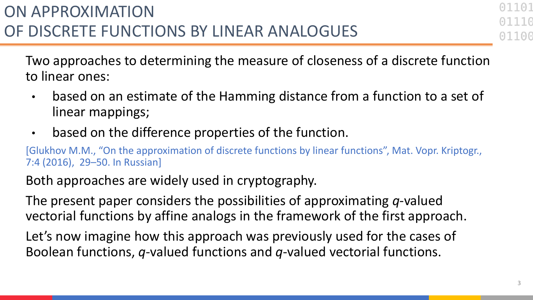Two approaches to determining the measure of closeness of a discrete function to linear ones:

- based on an estimate of the Hamming distance from a function to a set of linear mappings;
- based on the difference properties of the function.

[Glukhov M.M., "On the approximation of discrete functions by linear functions", Mat. Vopr. Kriptogr., 7:4 (2016), 29–50. In Russian]

Both approaches are widely used in cryptography.

The present paper considers the possibilities of approximating *q*-valued vectorial functions by affine analogs in the framework of the first approach.

Let's now imagine how this approach was previously used for the cases of Boolean functions, *q*-valued functions and *q*-valued vectorial functions.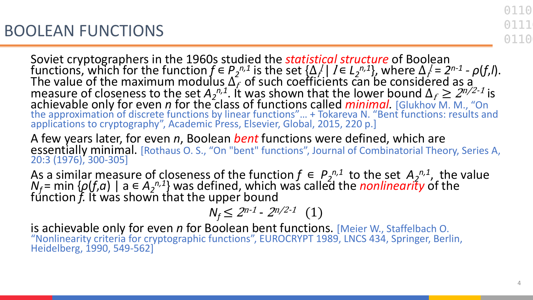Soviet cryptographers in the 1960s studied the *statistical structure* of Boolean functions, which for the function  $f \in P_2^{n,1}$  is the set  $\{\Delta_f^{\prime} \mid I \in L_2^{n,1}\}$ , where  $\Delta_f^{\prime} = 2^{n-1}$  -  $\rho(f,I)$ .<br>The value of the maximum modulus  $\Delta_f$  of such coefficients can be considered as a measure of closeness to the set  $A_2^{n,1}$ . It was shown that the lower bound  $\Delta_f \geq 2^{n/2-1}$  is achievable only for even *n* for the class of functions called *minimal.* [Glukhov M. M., "On the approximation of discrete functions by linear functions"... + Tokareva N. "Bent functions: results and applications to cryptography", Academic Press, Elsevier, Global, 2015, 220 p.]

A few years later, for even *n*, Boolean *bent* functions were defined, which are essentially minimal. [Rothaus O. S., "On "bent" functions", Journal of Combinatorial Theory, Series A, 20:3 (1976), 300-305]

As a similar measure of closeness of the function  $f \in P_2^{n,1}$  to the set  $A_2^{n,1}$ , the value *N<sub>f</sub>* = min { $\rho(f,a)$  | a  $\in A_2^{n,1}$ } was defined, which was called the *nonlinearity* of the function *f.* It was shown that the upper bound

$$
N_f \leq 2^{n-1} \cdot 2^{n/2-1} \quad (1)
$$

is achievable only for even *n* for Boolean bent functions. [Meier W., Staffelbach O. "Nonlinearity criteria for cryptographic functions", EUROCRYPT 1989, LNCS 434, Springer, Berlin, Heidelberg, 1990, 549-562]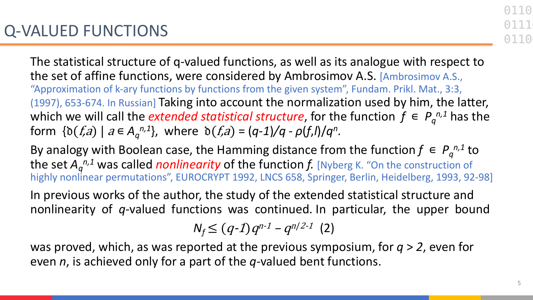The statistical structure of q-valued functions, as well as its analogue with respect to the set of affine functions, were considered by Ambrosimov A.S. [Ambrosimov A.S., "Approximation of k-ary functions by functions from the given system", Fundam. Prikl. Mat., 3:3, (1997), 653-674. In Russian] Taking into account the normalization used by him, the latter, which we will call the *extended statistical structure*, for the function  $f \in P_q^{n,1}$  has the  $\text{form } \{ \delta(f,a) \mid a \in A_q^{n,1} \}, \text{ where } \delta(f,a) = (q-1)/q - \rho(f,l)/q^n.$ 

By analogy with Boolean case, the Hamming distance from the function  $f \in P_q^{n,1}$  to the set  $A_q^{\,n,1}$  was called *nonlinearity* of the function f. [Nyberg K. "On the construction of highly nonlinear permutations", EUROCRYPT 1992, LNCS 658, Springer, Berlin, Heidelberg, 1993, 92-98]

In previous works of the author, the study of the extended statistical structure and nonlinearity of *q*-valued functions was continued. In particular, the upper bound

$$
N_f \le (q-1)q^{n-1} - q^{n/2-1} (2)
$$

was proved, which, as was reported at the previous symposium, for *q* > *2*, even for even *n*, is achieved only for a part of the *q*-valued bent functions.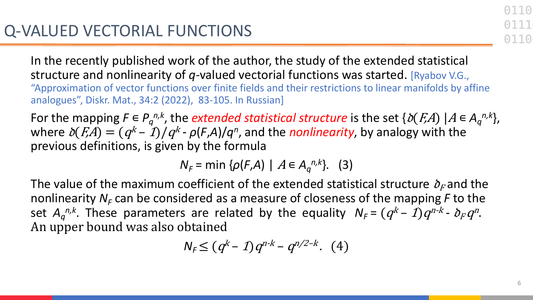In the recently published work of the author, the study of the extended statistical structure and nonlinearity of *q*-valued vectorial functions was started. [Ryabov V.G., "Approximation of vector functions over finite fields and their restrictions to linear manifolds by affine analogues", Diskr. Mat., 34:2 (2022), 83-105. In Russian]

For the mapping  $F \in P_q^{n,k}$ , the *extended statistical structure* is the set  $\{\delta(F,A) \mid A \in A_q^{n,k}\},$ where  $\delta(F,A) = (q^k - 1)/q^k - \rho(F,A)/q^n$ , and the *nonlinearity*, by analogy with the previous definitions, is given by the formula

*N<sub>F</sub>* = min { $ρ(F,A)$  |  $A ∈ A<sub>q</sub><sup>n,k</sup>$ }. (3)

The value of the maximum coefficient of the extended statistical structure  $\delta_F$  and the nonlinearity  $N_F$  can be considered as a measure of closeness of the mapping  $F$  to the set  $A_q^{n,k}$ . These parameters are related by the equality  $N_F = (q^k - 1)q^{n-k}$ -  $\delta_F q^n$ . An upper bound was also obtained

$$
N_F \le (q^k - 1)q^{n-k} - q^{n/2-k}.\ (4)
$$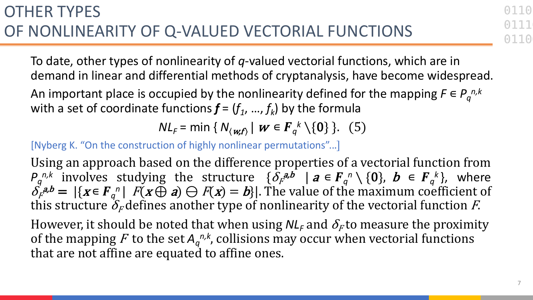To date, other types of nonlinearity of *q*-valued vectorial functions, which are in demand in linear and differential methods of cryptanalysis, have become widespread.

An important place is occupied by the nonlinearity defined for the mapping  $F ∈ P_q^{n,k}$ with a set of coordinate functions  $f = (f_1, ..., f_k)$  by the formula

*NL<sub>F</sub>* = min {  $N_{\langle w, f \rangle}$  |  $w \in F_q^k \setminus \{0\}$  }. (5)

[Nyberg K. "On the construction of highly nonlinear permutations"...]

Using an approach based on the difference properties of a vectorial function from *P<sub>q</sub>*<sup>*n,k*</sup> involves studying the structure  $\{\delta_F^{a,b} \mid a \in F_q^n \setminus \{0\}, b \in F_q^k\}$ , where  $\delta_F^{(a,b)} = |\{x \in F_q^n \mid F(x \oplus a) \ominus F(x) = b\}|$ . The value of the maximum coefficient of this structure  $\delta_F$  defines another type of nonlinearity of the vectorial function F.

However, it should be noted that when using  $N L_f$  and  $\delta_F$  to measure the proximity of the mapping F to the set  $A_q^{n,k}$ , collisions may occur when vectorial functions that are not affine are equated to affine ones.

0110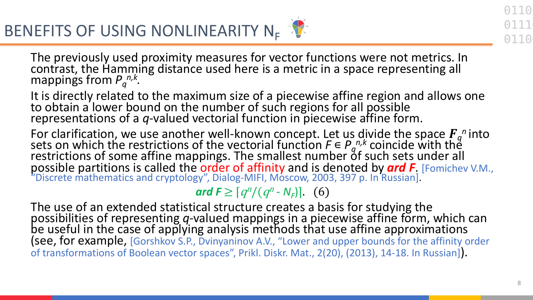The previously used proximity measures for vector functions were not metrics. In contrast, the Hamming distance used here is a metric in a space representing all mappings from  $P_q^{n,k}$ .

It is directly related to the maximum size of a piecewise affine region and allows one to obtain a lower bound on the number of such regions for all possible representations of a *q*-valued vectorial function in piecewise affine form.

For clarification, we use another well-known concept. Let us divide the space  $F_q$ <sup>n</sup> into sets on which the restrictions of the vectorial function  $F \in P_q^{n,k}$  coincide with the restrictions of some affine mappings. The smallest number of such sets under all possible partitions is called the order of affinity and is denoted by *ard F*. [Fomichev V.M., "Discrete mathematics and cryptology", Dialog-MIFI, Moscow, 2003, 397 p. In Russian].

*ard*  $F \geq \left[ q^n / (q^n - N_F) \right]$ . (6)

The use of an extended statistical structure creates a basis for studying the possibilities of representing *q*-valued mappings in a piecewise affine form, which can be useful in the case of applying analysis methods that use affine approximations (see, for example, [Gorshkov S.P., Dvinyaninov A.V., "Lower and upper bounds for the affinity order of transformations of Boolean vector spaces", Prikl. Diskr. Mat., 2(20), (2013), 14-18. In Russian]).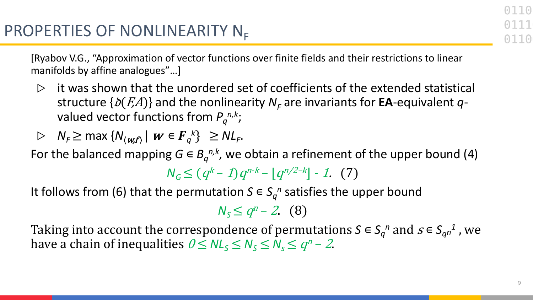[Ryabov V.G., "Approximation of vector functions over finite fields and their restrictions to linear manifolds by affine analogues"…]

it was shown that the unordered set of coefficients of the extended statistical structure  $\{\delta(F,A)\}$  and the nonlinearity  $N_F$  are invariants for **EA**-equivalent *q*valued vector functions from *Pq n,k*;

$$
\triangleright \quad N_F \geq \max \{ N_{\langle w, f \rangle} \mid w \in F_q^k \} \geq N L_F.
$$

For the balanced mapping  $G \in B_q^{n,k}$ , we obtain a refinement of the upper bound (4)

 $N_G \leq (q^k - 1)q^{n-k} - |q^{n/2-k}| - 1$ . (7)

It follows from (6) that the permutation  $S \in S_q^n$  satisfies the upper bound

$$
N_S \leq q^n - 2 \quad (8)
$$

Taking into account the correspondence of permutations  $S \in S_q^n$  and  $s \in S_{qn}^1$ , we have a chain of inequalities  $0 \leq NL_s \leq N_s \leq N_s \leq q^n - 2$ .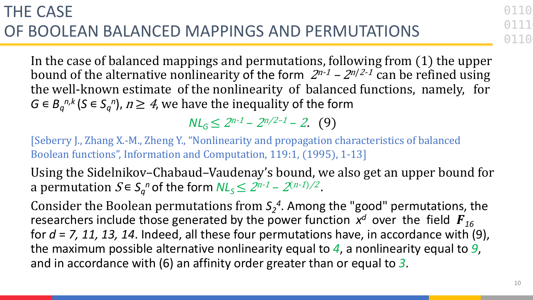In the case of balanced mappings and permutations, following from  $(1)$  the upper bound of the alternative nonlinearity of the form  $2^{n-1}$  –  $2^{n/2-1}$  can be refined using the well-known estimate of the nonlinearity of balanced functions, namely, for *G* ∈  $B_q^{n,k}$  (*S* ∈  $S_q^n$ ),  $n \geq 4$ , we have the inequality of the form

 $N L_G \leq 2^{n-1} - 2^{n/2-1} - 2$ . (9)

[Seberry J., Zhang X.-M., Zheng Y., "Nonlinearity and propagation characteristics of balanced Boolean functions", Information and Computation, 119:1, (1995), 1-13]

Using the Sidelnikov–Chabaud–Vaudenay's bound, we also get an upper bound for a permutation  $S \in S_q^n$  of the form  $N L_S \leq 2^{n-1} - 2^{(n-1)/2}$ .

Consider the Boolean permutations from  $S_2^4$ . Among the "good" permutations, the researchers include those generated by the power function  $x^d$  over the field  $\bm{F}_{16}$ for *d* = *7, 11, 13, 14*. Indeed, all these four permutations have, in accordance with (9), the maximum possible alternative nonlinearity equal to *4*, a nonlinearity equal to *9*, and in accordance with (6) an affinity order greater than or equal to *3*.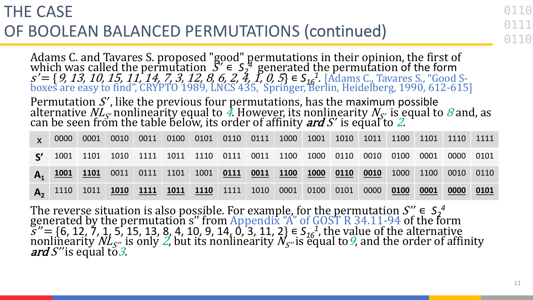## THE CASE OF BOOLEAN BALANCED PERMUTATIONS (continued)

Adams C. and Tavares S. proposed "good" permutations in their opinion, the first of which was called the permutation  $S' \in S_2^4$  generated the permutation of the form *s'* = { *9, 13, 10, 15, 11, 14, 7, 3, 12, 8, 6, 2, 4, 1, 0, 5*} ∈ S<sub>16</sub><sup>1</sup>. [Adams C., Tavares S., "Good S-<br>boxes are easy to find", CRYPTO 1989, LNCS 435, *Springer, Berlin, Heidelberg, 1990, 612-615*]

Permutation S', like the previous four permutations, has the maximum possible alternative  $N L_{S'}$  nonlinearity equal to 4. However, its nonlinearity  $N_{S'}$  is equal to 8 and, as can be seen from the table below, its order

| $\mathsf{X}$   | 0000 | 0001 |  |  |  | 0010 0011 0100 0101 0110 0111 1000 1001 1010 1011 1100 1101 1110 1111 |  |      |      |                |      |      |
|----------------|------|------|--|--|--|-----------------------------------------------------------------------|--|------|------|----------------|------|------|
| $\mathbf{S}'$  |      |      |  |  |  | 1001 1101 1010 1111 1011 1110 0111 0011 1100 1000 0110 0010 0100      |  |      |      | 0001 0000 0101 |      |      |
| $\mathbf{A}_1$ |      |      |  |  |  | 1001 1101 0011 0111 1101 1001 0111 0011 1100 1000 0110 0010           |  |      |      | 1000 1100 0010 |      | 0110 |
|                |      |      |  |  |  | 1110 1011 <mark>1010 1111 1011 1110</mark> 1111 1010 0001 0100 0101   |  | 0000 | 0100 | 0001           | 0000 | 0101 |

The reverse situation is also possible. For example, for the permutation  $S'' \in S_2^4$ generated by the permutation s" from Appendix "A" of GOST R 34.11-94 of the form  $S'' = \{6, 12, 7, 1, 5, 15, 13, 8, 4, 10, 9, 14, 0, 3, 11, 2\} \in S_{16}^{-1}$ , the value of the alternative<br>nonlinearity  $N L_{S''}$  is only *2*, but its nonlinearity  $N_{S''}$ is equal to *9*, and the order of affinity<br>*ard S*″is eq 110

0110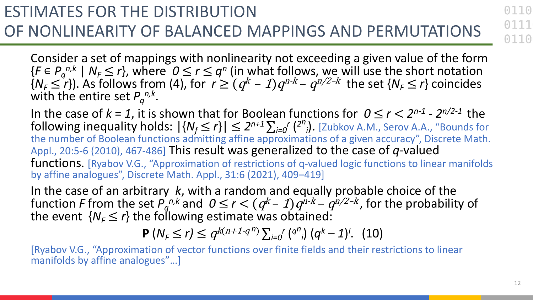ESTIMATES FOR THE DISTRIBUTION OF NONLINEARITY OF BALANCED MAPPINGS AND PERMUTATIONS

Consider a set of mappings with nonlinearity not exceeding a given value of the form  ${F \in P_q^{n,k} \mid N_F \leq r}$ , where  $0 \leq r \leq q^n$  (in what follows, we will use the short notation  $\{N_F \leq r\}$ ). As follows from (4), for  $r \geq (q^k-1)q^{n-k} - q^{n/2-k}$  the set  $\{N_F \leq r\}$  coincides with the entire set  $P_q^{n,k}$ .

In the case of  $k = 1$ , it is shown that for Boolean functions for  $0 \le r < 2^{n-1} - 2^{n/2-1}$  the  $\frac{1}{2}$  following inequality holds:  $|\{N_f \leq r\}| \leq 2^{n+1} \sum_{i=0}^n {2^n}_i$ . [Zubkov A.M., Serov A.A., "Bounds for the number of Boolean functions admitting affine approximations of a given accuracy", Discrete Math. Appl., 20:5-6 (2010), 467-486] This result was generalized to the case of *q*-valued functions. [Ryabov V.G., "Approximation of restrictions of q-valued logic functions to linear manifolds by affine analogues", Discrete Math. Appl., 31:6 (2021), 409–419]

In the case of an arbitrary *k*, with a random and equally probable choice of the function *F* from the set  $P_q^{n,k}$  and  $0 \le r < (q^k-1)q^{n-k} - q^{n/2-k}$ , for the probability of the event  $\{N_F \leq r\}$  the following estimate was obtained:

$$
\mathbf{P}\left(N_{F}\leq r\right)\leq q^{k(n+1\cdot q^{n})}\sum_{i=0}^{r} \binom{q^{n}}{i} \left(q^{k}-1\right)^{i}.\ (10)
$$

[Ryabov V.G., "Approximation of vector functions over finite fields and their restrictions to linear manifolds by affine analogues"…]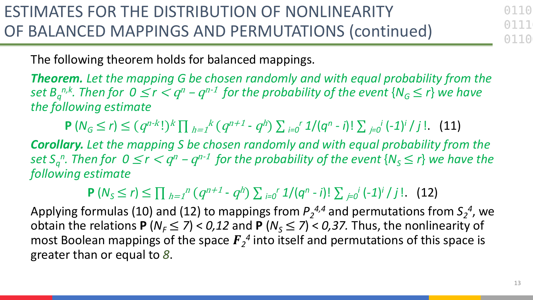0110

The following theorem holds for balanced mappings.

*Theorem. Let the mapping G be chosen randomly and with equal probability from the*   $s$ et  $B^{n,k}_{q}$ . Then for  $0 \leq r < q^n$  –  $q^{n-1}$  for the probability of the event  $\{N_{G} \leq r\}$  we have *the following estimate*

 $P(N_G \le r) \le (q^{n-k}!)^k \prod_{h=1}^k (q^{n+1} - q^h) \sum_{i=0}^r 1/(q^n - i)! \sum_{j=0}^j (-1)^j / j!$ . (11)

*Corollary. Let the mapping S be chosen randomly and with equal probability from the*   $\mathsf{Set}\ S_q^n.$  Then for  $0\leq r < q^n-q^{n-1}$  for the probability of the event  $\{\mathsf{N}_\mathcal{S}\leq r\}$  we have the *following estimate*

**P**  $(N_5 \le r)$  ≤  $\prod_{h=1}^n (q^{n+1} - q^h) \sum_{i=0}^r (1/(q^n - i)! \sum_{j=0}^r (-1)^j / j!$ . (12)

Applying formulas (10) and (12) to mappings from  $P_2^{4,4}$  and permutations from  $S_2^4$ , we obtain the relations **P** ( $N_F \le 7$ ) < 0,12 and **P** ( $N_S \le 7$ ) < 0,37. Thus, the nonlinearity of most Boolean mappings of the space  $\boldsymbol{F}_2{}^4$  into itself and permutations of this space is greater than or equal to *8*.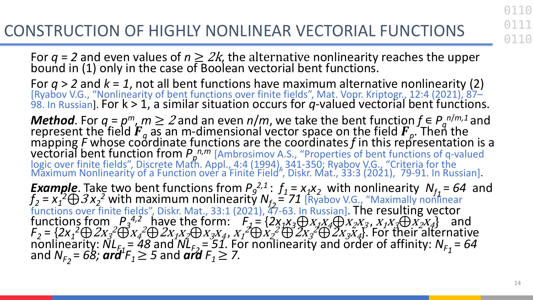For  $q = 2$  and even values of  $n \geq 2k$ , the alternative nonlinearity reaches the upper bound in (1) only in the case of Boolean vectorial bent functions.

For *q* > *2* and *k* = *1*, not all bent functions have maximum alternative nonlinearity (2) [Ryabov V.G., "Nonlinearity of bent functions over finite fields", Mat. Vopr. Kriptogr., 12:4 (2021), 87– 98. In Russian]. For k > 1, a similar situation occurs for *q*-valued vectorial bent functions.

*Method*. For  $q = p^m$ ,  $m ≥ 2$  and an even  $n/m$ , we take the bent function  $f ∈ P_q^{n/m,1}$  and represent the field  $F_q$  as an m-dimensional vector space on the field  $F_p$ . Then the mapping *F* whose coordinate functions are the coordinates *f* in this representation is a vectorial bent function from  $P_n^{n,m}$  [Ambrosimov A.S., "Properties of bent functions of q-valued logic over finite fields", Discrete Math. Appl., 4:4 (1994), 341-350; Ryabov V.G., "Criteria for the<br>Maximum Nonlinearity of a Function over a Finite Field", Diskr. Mat., 33:3 (2021), 79-91. In Russian].

*Example*. Take two bent functions from  $P_9^{2,1}$ :  $f_1 = x_1x_2$  with nonlinearity  $N_{f_1} = 64$  and  $f_1 = x_1^2 \oplus x_2^2$  with maximum poplinearity  $N = 71$  [Puckey MG "Maximally poplinear  $f_2 = x_1^2 \bigoplus 3x_2^2$  with maximum nonlinearity  $N_{f_2} = 71$  [Ryabov V.G., "Maximally nonlinear functions over finite fields", Diskr. Mat., 33:1 (2021), 47-63. In Russian]. The resulting vector functions from  $P_3^{4,2}$ , have the form:  $F_4 = \{2x_1x_3 \bigoplus x_1x_4 \bigoplus x_2x_3, x_1x_3 \bigoplus x_2x_4\}$  and  $F_2 = \left\{2x_1^2 \oplus 2x_3^2 \oplus x_4^2 \oplus 2x_1x_2 \oplus x_3x_4, x_1^2 \oplus x_2^2 \oplus 2x_3^2 \oplus 2x_3x_4\right\}$ . For their alternative  $\sum_{r=1}^{\infty} \frac{1}{r}$   $\sum_{r=1}^{\infty} \frac{1}{r} = \frac{1}{48}$  and  $\sum_{r=2}^{\infty} \frac{1}{r} = \frac{51}{16}$ . For nonlinearity and order of affinity:  $N_{F_1} = 64$ and  $N_{F_2}$  = 68; ard  $F_1 \ge 5$  and ard  $F_1 \ge 7$ .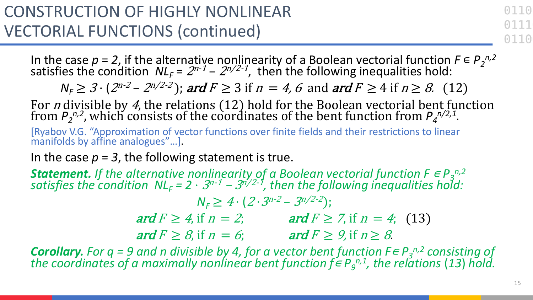0110 0110

In the case  $p = 2$ , if the alternative nonlinearity of a Boolean vectorial function  $F \in P_2^{n,2}$ satisfies the condition  $NL_F = 2^{n-1} - 2^{n/2-1}$ , then the following inequalities hold:

 $N_F \geq 3 \cdot (2^{n-2} - 2^{n/2-2})$ ; ard  $F \geq 3$  if  $n = 4$ , 6 and ard  $F \geq 4$  if  $n \geq 8$ . (12)

For *n* divisible by 4, the relations  $(12)$  hold for the Boolean vectorial bent function from  $P_2^{n,2}$ , which consists of the coordinates of the bent function from  $P_4^{n/2,1}$ .

[Ryabov V.G. "Approximation of vector functions over finite fields and their restrictions to linear manifolds by affine analogues"…].

In the case  $p = 3$ , the following statement is true.

**Statement.** If the alternative nonlinearity of a Boolean vectorial function  $F \in P_3^{n,2}$ satisfies the condition  $NL_F = 2 \cdot 3^{n-1} - 3^{n/2-1}$ , then the following inequalities hold:

 $N_F \geq 4 \cdot (2 \cdot 3^{n-2} - 3^{n/2-2})$ ; ard  $F \geq 4$ , if  $n = 2$ ; ard  $F \geq 7$ , if  $n = 4$ ; (13) ard  $F \geq 8$ , if  $n = 6$ ; ard  $F \geq 9$ , if  $n \geq 8$ .

*Corollary. For q = 9 and n divisible by 4, for a vector bent function*  $F \in P_3^{n,2}$  *consisting of the coordinates of a maximally nonlinear bent function f∈*  $P$ *<sub>9</sub><sup>n,1</sup>, the relations (13) hold.*